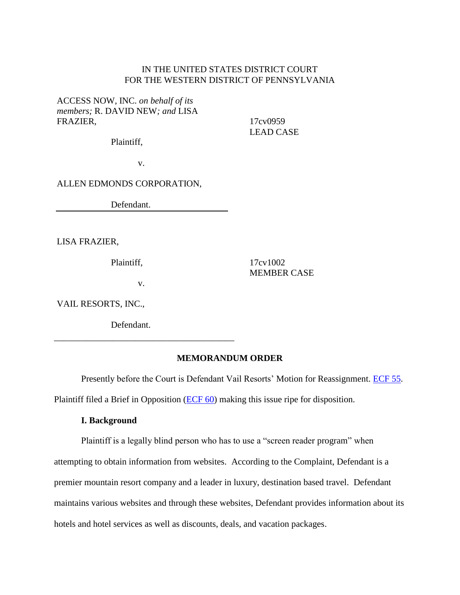## IN THE UNITED STATES DISTRICT COURT FOR THE WESTERN DISTRICT OF PENNSYLVANIA

ACCESS NOW, INC. *on behalf of its members;* R. DAVID NEW*; and* LISA FRAZIER,

17cv0959 LEAD CASE

Plaintiff,

v.

ALLEN EDMONDS CORPORATION,

Defendant.

LISA FRAZIER,

Plaintiff,

v.

\_\_\_\_\_\_\_\_\_\_\_\_\_\_\_\_\_\_\_\_\_\_\_\_\_\_\_\_\_\_\_\_\_\_\_\_\_\_\_\_

17cv1002 MEMBER CASE

VAIL RESORTS, INC.,

Defendant.

### **MEMORANDUM ORDER**

Presently before the Court is Defendant Vail Resorts' Motion for Reassignment. [ECF 55.](https://ecf.pawd.uscourts.gov/doc1/15715857099) Plaintiff filed a Brief in Opposition [\(ECF 60\)](https://ecf.pawd.uscourts.gov/doc1/15715862931) making this issue ripe for disposition.

### **I. Background**

Plaintiff is a legally blind person who has to use a "screen reader program" when attempting to obtain information from websites. According to the Complaint, Defendant is a premier mountain resort company and a leader in luxury, destination based travel. Defendant maintains various websites and through these websites, Defendant provides information about its hotels and hotel services as well as discounts, deals, and vacation packages.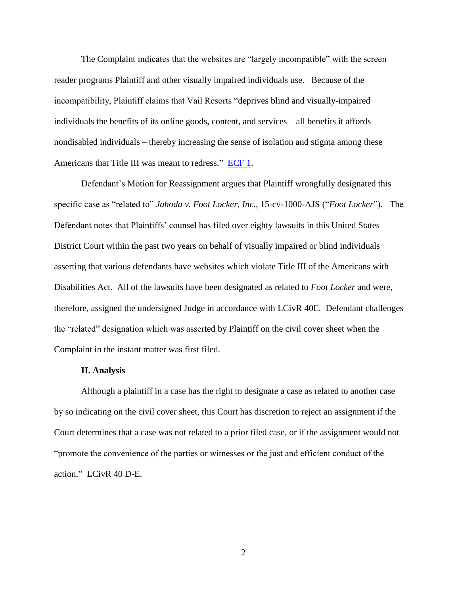The Complaint indicates that the websites are "largely incompatible" with the screen reader programs Plaintiff and other visually impaired individuals use. Because of the incompatibility, Plaintiff claims that Vail Resorts "deprives blind and visually-impaired individuals the benefits of its online goods, content, and services – all benefits it affords nondisabled individuals – thereby increasing the sense of isolation and stigma among these Americans that Title III was meant to redress." [ECF 1.](https://ecf.pawd.uscourts.gov/doc1/15715798559)

Defendant's Motion for Reassignment argues that Plaintiff wrongfully designated this specific case as "related to" *Jahoda v. Foot Locker, Inc.*, 15-cv-1000-AJS ("*Foot Locker*"). The Defendant notes that Plaintiffs' counsel has filed over eighty lawsuits in this United States District Court within the past two years on behalf of visually impaired or blind individuals asserting that various defendants have websites which violate Title III of the Americans with Disabilities Act. All of the lawsuits have been designated as related to *Foot Locker* and were, therefore, assigned the undersigned Judge in accordance with LCivR 40E. Defendant challenges the "related" designation which was asserted by Plaintiff on the civil cover sheet when the Complaint in the instant matter was first filed.

#### **II. Analysis**

Although a plaintiff in a case has the right to designate a case as related to another case by so indicating on the civil cover sheet, this Court has discretion to reject an assignment if the Court determines that a case was not related to a prior filed case, or if the assignment would not "promote the convenience of the parties or witnesses or the just and efficient conduct of the action." LCivR 40 D-E.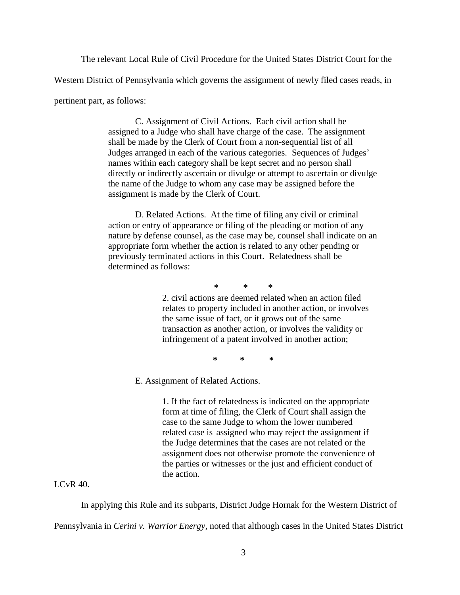The relevant Local Rule of Civil Procedure for the United States District Court for the Western District of Pennsylvania which governs the assignment of newly filed cases reads, in

pertinent part, as follows:

C. Assignment of Civil Actions. Each civil action shall be assigned to a Judge who shall have charge of the case. The assignment shall be made by the Clerk of Court from a non-sequential list of all Judges arranged in each of the various categories. Sequences of Judges' names within each category shall be kept secret and no person shall directly or indirectly ascertain or divulge or attempt to ascertain or divulge the name of the Judge to whom any case may be assigned before the assignment is made by the Clerk of Court.

D. Related Actions. At the time of filing any civil or criminal action or entry of appearance or filing of the pleading or motion of any nature by defense counsel, as the case may be, counsel shall indicate on an appropriate form whether the action is related to any other pending or previously terminated actions in this Court. Relatedness shall be determined as follows:

**\* \* \***

2. civil actions are deemed related when an action filed relates to property included in another action, or involves the same issue of fact, or it grows out of the same transaction as another action, or involves the validity or infringement of a patent involved in another action;

**\* \* \***

E. Assignment of Related Actions.

1. If the fact of relatedness is indicated on the appropriate form at time of filing, the Clerk of Court shall assign the case to the same Judge to whom the lower numbered related case is assigned who may reject the assignment if the Judge determines that the cases are not related or the assignment does not otherwise promote the convenience of the parties or witnesses or the just and efficient conduct of the action.

# LCvR 40.

In applying this Rule and its subparts, District Judge Hornak for the Western District of Pennsylvania in *Cerini v. Warrior Energy,* noted that although cases in the United States District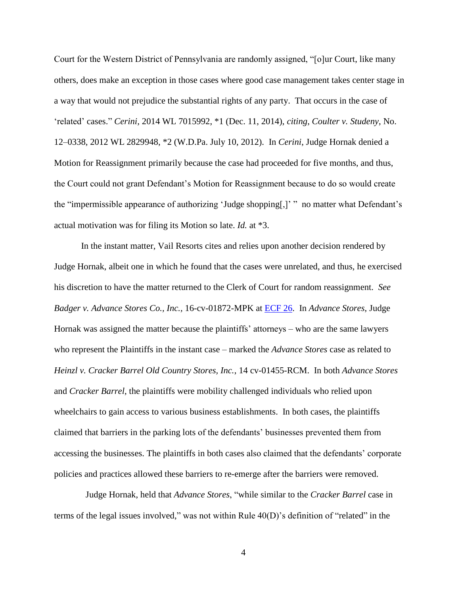Court for the Western District of Pennsylvania are randomly assigned, "[o]ur Court, like many others, does make an exception in those cases where good case management takes center stage in a way that would not prejudice the substantial rights of any party. That occurs in the case of 'related' cases." *Cerini,* 2014 WL 7015992, \*1 (Dec. 11, 2014), *citing*, *Coulter v. Studeny*, No. 12–0338, 2012 WL 2829948, \*2 (W.D.Pa. July 10, 2012). In *Cerini*, Judge Hornak denied a Motion for Reassignment primarily because the case had proceeded for five months, and thus, the Court could not grant Defendant's Motion for Reassignment because to do so would create the "impermissible appearance of authorizing 'Judge shopping[,]' "no matter what Defendant's actual motivation was for filing its Motion so late. *Id.* at \*3.

In the instant matter, Vail Resorts cites and relies upon another decision rendered by Judge Hornak, albeit one in which he found that the cases were unrelated, and thus, he exercised his discretion to have the matter returned to the Clerk of Court for random reassignment. *See Badger v. Advance Stores Co., Inc.,* 16-cv-01872-MPK at [ECF 26.](https://ecf.pawd.uscourts.gov/doc1/15715836367) In *Advance Stores*, Judge Hornak was assigned the matter because the plaintiffs' attorneys – who are the same lawyers who represent the Plaintiffs in the instant case – marked the *Advance Stores* case as related to *Heinzl v. Cracker Barrel Old Country Stores, Inc.*, 14 cv-01455-RCM. In both *Advance Stores* and *Cracker Barrel*, the plaintiffs were mobility challenged individuals who relied upon wheelchairs to gain access to various business establishments. In both cases, the plaintiffs claimed that barriers in the parking lots of the defendants' businesses prevented them from accessing the businesses. The plaintiffs in both cases also claimed that the defendants' corporate policies and practices allowed these barriers to re-emerge after the barriers were removed.

 Judge Hornak, held that *Advance Stores*, "while similar to the *Cracker Barrel* case in terms of the legal issues involved," was not within Rule 40(D)'s definition of "related" in the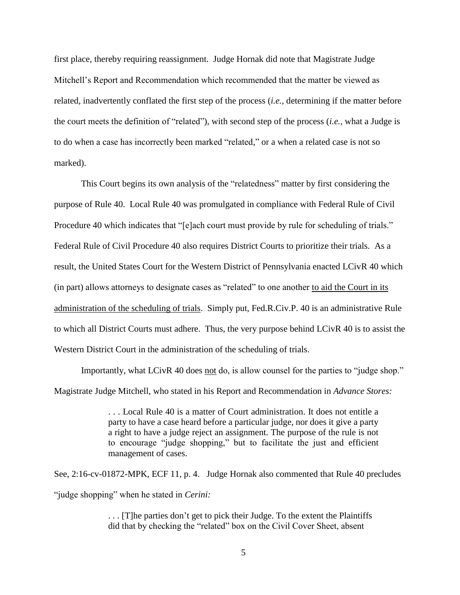first place, thereby requiring reassignment. Judge Hornak did note that Magistrate Judge Mitchell's Report and Recommendation which recommended that the matter be viewed as related, inadvertently conflated the first step of the process (*i.e.,* determining if the matter before the court meets the definition of "related"), with second step of the process (*i.e.,* what a Judge is to do when a case has incorrectly been marked "related," or a when a related case is not so marked).

This Court begins its own analysis of the "relatedness" matter by first considering the purpose of Rule 40. Local Rule 40 was promulgated in compliance with Federal Rule of Civil Procedure 40 which indicates that "[e]ach court must provide by rule for scheduling of trials." Federal Rule of Civil Procedure 40 also requires District Courts to prioritize their trials. As a result, the United States Court for the Western District of Pennsylvania enacted LCivR 40 which (in part) allows attorneys to designate cases as "related" to one another to aid the Court in its administration of the scheduling of trials. Simply put, Fed.R.Civ.P. 40 is an administrative Rule to which all District Courts must adhere. Thus, the very purpose behind LCivR 40 is to assist the Western District Court in the administration of the scheduling of trials.

Importantly, what LCivR 40 does not do, is allow counsel for the parties to "judge shop." Magistrate Judge Mitchell, who stated in his Report and Recommendation in *Advance Stores:*

> . . . Local Rule 40 is a matter of Court administration. It does not entitle a party to have a case heard before a particular judge, nor does it give a party a right to have a judge reject an assignment. The purpose of the rule is not to encourage "judge shopping," but to facilitate the just and efficient management of cases.

See, 2:16-cv-01872-MPK, ECF 11, p. 4. Judge Hornak also commented that Rule 40 precludes "judge shopping" when he stated in *Cerini:*

> . . . [T]he parties don't get to pick their Judge. To the extent the Plaintiffs did that by checking the "related" box on the Civil Cover Sheet, absent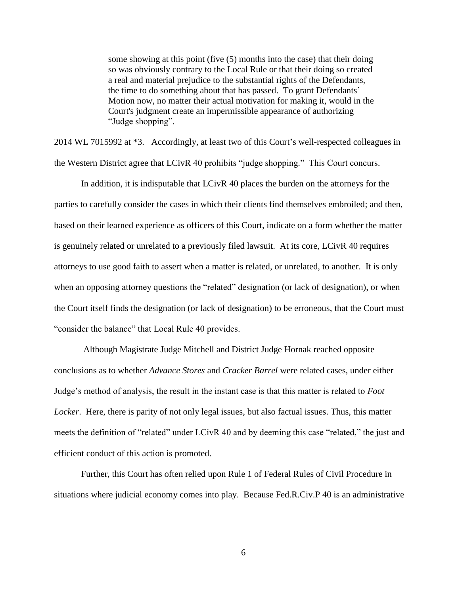some showing at this point (five (5) months into the case) that their doing so was obviously contrary to the Local Rule or that their doing so created a real and material prejudice to the substantial rights of the Defendants, the time to do something about that has passed. To grant Defendants' Motion now, no matter their actual motivation for making it, would in the Court's judgment create an impermissible appearance of authorizing "Judge shopping".

2014 WL 7015992 at \*3. Accordingly, at least two of this Court's well-respected colleagues in the Western District agree that LCivR 40 prohibits "judge shopping." This Court concurs.

In addition, it is indisputable that LCivR 40 places the burden on the attorneys for the parties to carefully consider the cases in which their clients find themselves embroiled; and then, based on their learned experience as officers of this Court, indicate on a form whether the matter is genuinely related or unrelated to a previously filed lawsuit. At its core, LCivR 40 requires attorneys to use good faith to assert when a matter is related, or unrelated, to another. It is only when an opposing attorney questions the "related" designation (or lack of designation), or when the Court itself finds the designation (or lack of designation) to be erroneous, that the Court must "consider the balance" that Local Rule 40 provides.

Although Magistrate Judge Mitchell and District Judge Hornak reached opposite conclusions as to whether *Advance Stores* and *Cracker Barrel* were related cases, under either Judge's method of analysis, the result in the instant case is that this matter is related to *Foot Locker*. Here, there is parity of not only legal issues, but also factual issues. Thus, this matter meets the definition of "related" under LCivR 40 and by deeming this case "related," the just and efficient conduct of this action is promoted.

Further, this Court has often relied upon Rule 1 of Federal Rules of Civil Procedure in situations where judicial economy comes into play. Because Fed.R.Civ.P 40 is an administrative

6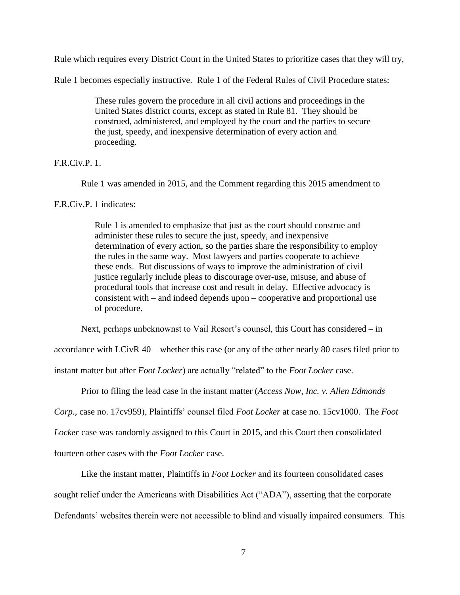Rule which requires every District Court in the United States to prioritize cases that they will try,

Rule 1 becomes especially instructive. Rule 1 of the Federal Rules of Civil Procedure states:

These rules govern the procedure in all civil actions and proceedings in the United States district courts, except as stated in Rule 81. They should be construed, administered, and employed by the court and the parties to secure the just, speedy, and inexpensive determination of every action and proceeding.

# F.R.Civ.P. 1.

Rule 1 was amended in 2015, and the Comment regarding this 2015 amendment to

## F.R.Civ.P. 1 indicates:

Rule 1 is amended to emphasize that just as the court should construe and administer these rules to secure the just, speedy, and inexpensive determination of every action, so the parties share the responsibility to employ the rules in the same way. Most lawyers and parties cooperate to achieve these ends. But discussions of ways to improve the administration of civil justice regularly include pleas to discourage over-use, misuse, and abuse of procedural tools that increase cost and result in delay. Effective advocacy is consistent with – and indeed depends upon – cooperative and proportional use of procedure.

Next, perhaps unbeknownst to Vail Resort's counsel, this Court has considered – in

accordance with LCivR 40 – whether this case (or any of the other nearly 80 cases filed prior to

instant matter but after *Foot Locker*) are actually "related" to the *Foot Locker* case.

Prior to filing the lead case in the instant matter (*Access Now, Inc. v. Allen Edmonds*

*Corp.,* case no. 17cv959), Plaintiffs' counsel filed *Foot Locker* at case no. 15cv1000. The *Foot* 

*Locker* case was randomly assigned to this Court in 2015, and this Court then consolidated

fourteen other cases with the *Foot Locker* case.

Like the instant matter, Plaintiffs in *Foot Locker* and its fourteen consolidated cases

sought relief under the Americans with Disabilities Act ("ADA"), asserting that the corporate

Defendants' websites therein were not accessible to blind and visually impaired consumers. This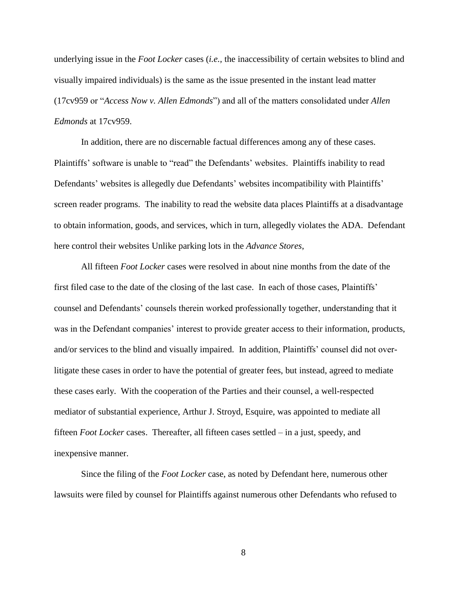underlying issue in the *Foot Locker* cases (*i.e.,* the inaccessibility of certain websites to blind and visually impaired individuals) is the same as the issue presented in the instant lead matter (17cv959 or "*Access Now v. Allen Edmonds*") and all of the matters consolidated under *Allen Edmonds* at 17cv959.

In addition, there are no discernable factual differences among any of these cases. Plaintiffs' software is unable to "read" the Defendants' websites. Plaintiffs inability to read Defendants' websites is allegedly due Defendants' websites incompatibility with Plaintiffs' screen reader programs. The inability to read the website data places Plaintiffs at a disadvantage to obtain information, goods, and services, which in turn, allegedly violates the ADA. Defendant here control their websites Unlike parking lots in the *Advance Stores*,

All fifteen *Foot Locker* cases were resolved in about nine months from the date of the first filed case to the date of the closing of the last case. In each of those cases, Plaintiffs' counsel and Defendants' counsels therein worked professionally together, understanding that it was in the Defendant companies' interest to provide greater access to their information, products, and/or services to the blind and visually impaired. In addition, Plaintiffs' counsel did not overlitigate these cases in order to have the potential of greater fees, but instead, agreed to mediate these cases early. With the cooperation of the Parties and their counsel, a well-respected mediator of substantial experience, Arthur J. Stroyd, Esquire, was appointed to mediate all fifteen *Foot Locker* cases. Thereafter, all fifteen cases settled – in a just, speedy, and inexpensive manner.

Since the filing of the *Foot Locker* case, as noted by Defendant here, numerous other lawsuits were filed by counsel for Plaintiffs against numerous other Defendants who refused to

8